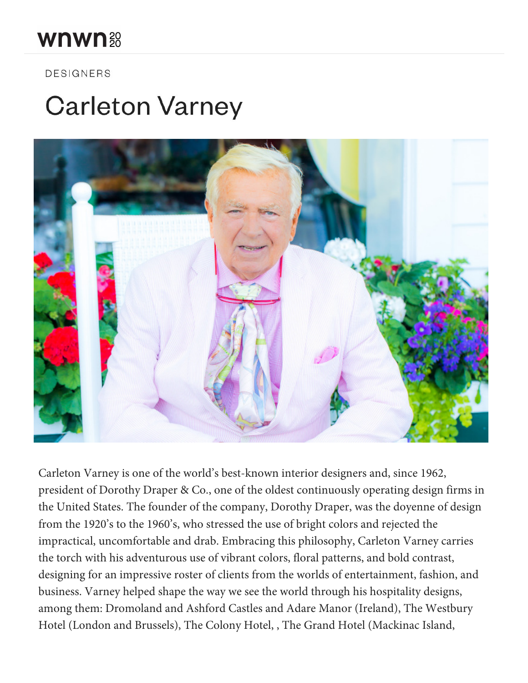## wnwn 38

**DESIGNERS** 

## **Carleton Varney**



Carleton Varney is one of the world's best-known interior designers and, since 1962, president of Dorothy Draper & Co., one of the oldest continuously operating design firms in the United States. The founder of the company, Dorothy Draper, was the doyenne of design from the 1920's to the 1960's, who stressed the use of bright colors and rejected the impractical, uncomfortable and drab. Embracing this philosophy, Carleton Varney carries the torch with his adventurous use of vibrant colors, floral patterns, and bold contrast, designing for an impressive roster of clients from the worlds of entertainment, fashion, and business. Varney helped shape the way we see the world through his hospitality designs, among them: Dromoland and Ashford Castles and Adare Manor (Ireland), The Westbury Hotel (London and Brussels), The Colony Hotel, , The Grand Hotel (Mackinac Island,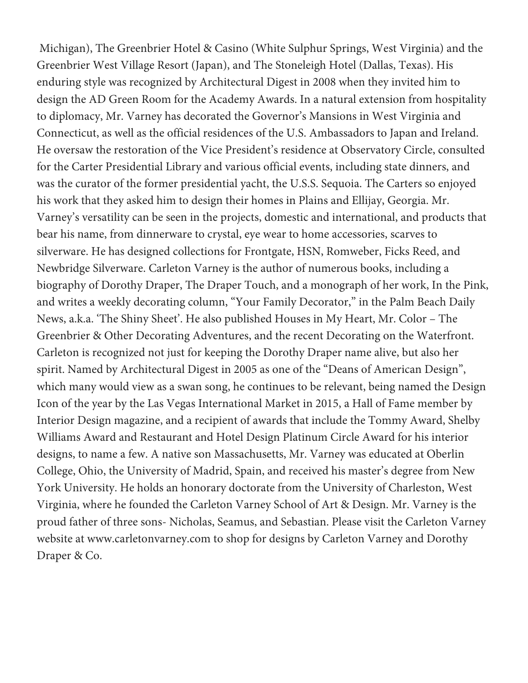Michigan), The Greenbrier Hotel & Casino (White Sulphur Springs, West Virginia) and the Greenbrier West Village Resort (Japan), and The Stoneleigh Hotel (Dallas, Texas). His enduring style was recognized by Architectural Digest in 2008 when they invited him to design the AD Green Room for the Academy Awards. In a natural extension from hospitality to diplomacy, Mr. Varney has decorated the Governor's Mansions in West Virginia and Connecticut, as well as the official residences of the U.S. Ambassadors to Japan and Ireland. He oversaw the restoration of the Vice President's residence at Observatory Circle, consulted for the Carter Presidential Library and various official events, including state dinners, and was the curator of the former presidential yacht, the U.S.S. Sequoia. The Carters so enjoyed his work that they asked him to design their homes in Plains and Ellijay, Georgia. Mr. Varney's versatility can be seen in the projects, domestic and international, and products that bear his name, from dinnerware to crystal, eye wear to home accessories, scarves to silverware. He has designed collections for Frontgate, HSN, Romweber, Ficks Reed, and Newbridge Silverware. Carleton Varney is the author of numerous books, including a biography of Dorothy Draper, The Draper Touch, and a monograph of her work, In the Pink, and writes a weekly decorating column, "Your Family Decorator," in the Palm Beach Daily News, a.k.a. 'The Shiny Sheet'. He also published Houses in My Heart, Mr. Color – The Greenbrier & Other Decorating Adventures, and the recent Decorating on the Waterfront. Carleton is recognized not just for keeping the Dorothy Draper name alive, but also her spirit. Named by Architectural Digest in 2005 as one of the "Deans of American Design", which many would view as a swan song, he continues to be relevant, being named the Design Icon of the year by the Las Vegas International Market in 2015, a Hall of Fame member by Interior Design magazine, and a recipient of awards that include the Tommy Award, Shelby Williams Award and Restaurant and Hotel Design Platinum Circle Award for his interior designs, to name a few. A native son Massachusetts, Mr. Varney was educated at Oberlin College, Ohio, the University of Madrid, Spain, and received his master's degree from New York University. He holds an honorary doctorate from the University of Charleston, West Virginia, where he founded the Carleton Varney School of Art & Design. Mr. Varney is the proud father of three sons- Nicholas, Seamus, and Sebastian. Please visit the Carleton Varney website at www.carletonvarney.com to shop for designs by Carleton Varney and Dorothy Draper & Co.